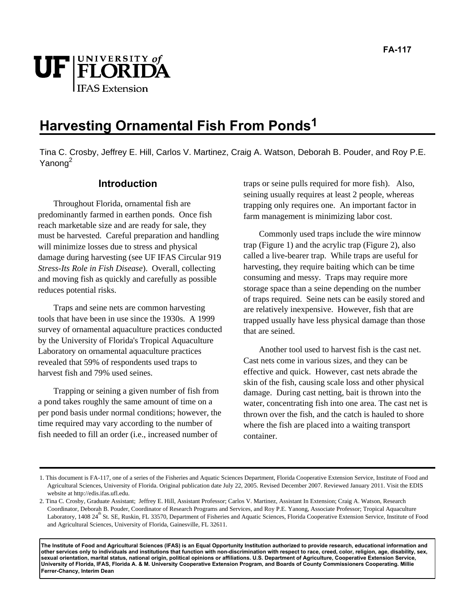# UF FLORIDA **IFAS** Extension

# **Harvesting Ornamental Fish From Ponds1**

Tina C. Crosby, Jeffrey E. Hill, Carlos V. Martinez, Craig A. Watson, Deborah B. Pouder, and Roy P.E. Yanong<sup>2</sup>

# **Introduction**

Throughout Florida, ornamental fish are predominantly farmed in earthen ponds. Once fish reach marketable size and are ready for sale, they must be harvested. Careful preparation and handling will minimize losses due to stress and physical damage during harvesting (see UF IFAS Circular 919 *Stress-Its Role in Fish Disease*). Overall, collecting and moving fish as quickly and carefully as possible reduces potential risks.

Traps and seine nets are common harvesting tools that have been in use since the 1930s. A 1999 survey of ornamental aquaculture practices conducted by the University of Florida's Tropical Aquaculture Laboratory on ornamental aquaculture practices revealed that 59% of respondents used traps to harvest fish and 79% used seines.

Trapping or seining a given number of fish from a pond takes roughly the same amount of time on a per pond basis under normal conditions; however, the time required may vary according to the number of fish needed to fill an order (i.e., increased number of

traps or seine pulls required for more fish). Also, seining usually requires at least 2 people, whereas trapping only requires one. An important factor in farm management is minimizing labor cost.

Commonly used traps include the wire minnow trap (Figure 1) and the acrylic trap (Figure 2), also called a live-bearer trap. While traps are useful for harvesting, they require baiting which can be time consuming and messy. Traps may require more storage space than a seine depending on the number of traps required. Seine nets can be easily stored and are relatively inexpensive. However, fish that are trapped usually have less physical damage than those that are seined.

Another tool used to harvest fish is the cast net. Cast nets come in various sizes, and they can be effective and quick. However, cast nets abrade the skin of the fish, causing scale loss and other physical damage. During cast netting, bait is thrown into the water, concentrating fish into one area. The cast net is thrown over the fish, and the catch is hauled to shore where the fish are placed into a waiting transport container.

**The Institute of Food and Agricultural Sciences (IFAS) is an Equal Opportunity Institution authorized to provide research, educational information and other services only to individuals and institutions that function with non-discrimination with respect to race, creed, color, religion, age, disability, sex, sexual orientation, marital status, national origin, political opinions or affiliations. U.S. Department of Agriculture, Cooperative Extension Service, University of Florida, IFAS, Florida A. & M. University Cooperative Extension Program, and Boards of County Commissioners Cooperating. Millie Ferrer-Chancy, Interim Dean** 

<sup>1.</sup> This document is FA-117, one of a series of the Fisheries and Aquatic Sciences Department, Florida Cooperative Extension Service, Institute of Food and Agricultural Sciences, University of Florida. Original publication date July 22, 2005. Revised December 2007. Reviewed January 2011. Visit the EDIS website at http://edis.ifas.ufl.edu.

<sup>2.</sup> Tina C. Crosby, Graduate Assistant; Jeffrey E. Hill, Assistant Professor; Carlos V. Martinez, Assistant In Extension; Craig A. Watson, Research Coordinator, Deborah B. Pouder, Coordinator of Research Programs and Services, and Roy P.E. Yanong, Associate Professor; Tropical Aquaculture Laboratory, 1408 24<sup>th</sup> St. SE, Ruskin, FL 33570, Department of Fisheries and Aquatic Sciences, Florida Cooperative Extension Service, Institute of Food and Agricultural Sciences, University of Florida, Gainesville, FL 32611.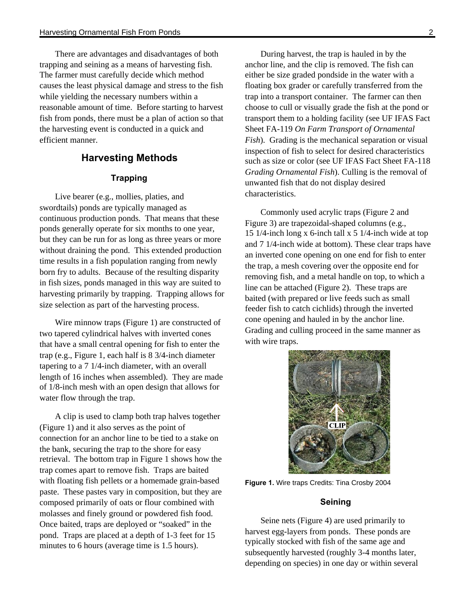There are advantages and disadvantages of both trapping and seining as a means of harvesting fish. The farmer must carefully decide which method causes the least physical damage and stress to the fish while yielding the necessary numbers within a reasonable amount of time. Before starting to harvest fish from ponds, there must be a plan of action so that the harvesting event is conducted in a quick and efficient manner.

# **Harvesting Methods**

#### **Trapping**

Live bearer (e.g., mollies, platies, and swordtails) ponds are typically managed as continuous production ponds. That means that these ponds generally operate for six months to one year, but they can be run for as long as three years or more without draining the pond. This extended production time results in a fish population ranging from newly born fry to adults. Because of the resulting disparity in fish sizes, ponds managed in this way are suited to harvesting primarily by trapping. Trapping allows for size selection as part of the harvesting process.

Wire minnow traps (Figure 1) are constructed of two tapered cylindrical halves with inverted cones that have a small central opening for fish to enter the trap (e.g., Figure 1, each half is 8 3/4-inch diameter tapering to a 7 1/4-inch diameter, with an overall length of 16 inches when assembled). They are made of 1/8-inch mesh with an open design that allows for water flow through the trap.

A clip is used to clamp both trap halves together (Figure 1) and it also serves as the point of connection for an anchor line to be tied to a stake on the bank, securing the trap to the shore for easy retrieval. The bottom trap in Figure 1 shows how the trap comes apart to remove fish. Traps are baited with floating fish pellets or a homemade grain-based paste. These pastes vary in composition, but they are composed primarily of oats or flour combined with molasses and finely ground or powdered fish food. Once baited, traps are deployed or "soaked" in the pond. Traps are placed at a depth of 1-3 feet for 15 minutes to 6 hours (average time is 1.5 hours).

During harvest, the trap is hauled in by the anchor line, and the clip is removed. The fish can either be size graded pondside in the water with a floating box grader or carefully transferred from the trap into a transport container. The farmer can then choose to cull or visually grade the fish at the pond or transport them to a holding facility (see UF IFAS Fact Sheet FA-119 *On Farm Transport of Ornamental Fish*). Grading is the mechanical separation or visual inspection of fish to select for desired characteristics such as size or color (see UF IFAS Fact Sheet FA-118 *Grading Ornamental Fish*). Culling is the removal of unwanted fish that do not display desired characteristics.

Commonly used acrylic traps (Figure 2 and Figure 3) are trapezoidal-shaped columns (e.g., 15 1/4-inch long x 6-inch tall x 5 1/4-inch wide at top and 7 1/4-inch wide at bottom). These clear traps have an inverted cone opening on one end for fish to enter the trap, a mesh covering over the opposite end for removing fish, and a metal handle on top, to which a line can be attached (Figure 2). These traps are baited (with prepared or live feeds such as small feeder fish to catch cichlids) through the inverted cone opening and hauled in by the anchor line. Grading and culling proceed in the same manner as with wire traps.



**Figure 1.** Wire traps Credits: Tina Crosby 2004

#### **Seining**

Seine nets (Figure 4) are used primarily to harvest egg-layers from ponds. These ponds are typically stocked with fish of the same age and subsequently harvested (roughly 3-4 months later, depending on species) in one day or within several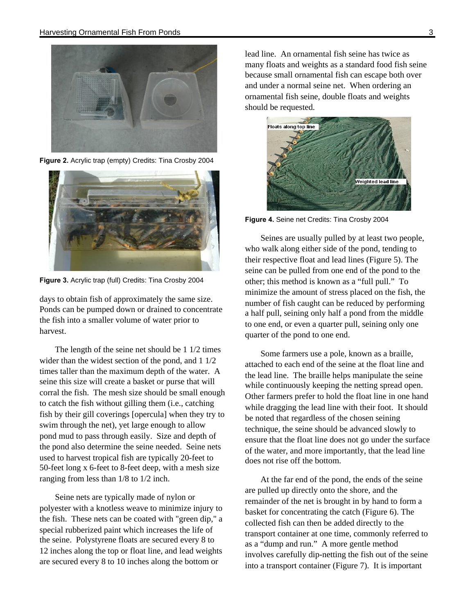

**Figure 2.** Acrylic trap (empty) Credits: Tina Crosby 2004



**Figure 3.** Acrylic trap (full) Credits: Tina Crosby 2004

days to obtain fish of approximately the same size. Ponds can be pumped down or drained to concentrate the fish into a smaller volume of water prior to harvest.

The length of the seine net should be 1 1/2 times wider than the widest section of the pond, and 1 1/2 times taller than the maximum depth of the water. A seine this size will create a basket or purse that will corral the fish. The mesh size should be small enough to catch the fish without gilling them (i.e., catching fish by their gill coverings [opercula] when they try to swim through the net), yet large enough to allow pond mud to pass through easily. Size and depth of the pond also determine the seine needed. Seine nets used to harvest tropical fish are typically 20-feet to 50-feet long x 6-feet to 8-feet deep, with a mesh size ranging from less than 1/8 to 1/2 inch.

Seine nets are typically made of nylon or polyester with a knotless weave to minimize injury to the fish. These nets can be coated with "green dip," a special rubberized paint which increases the life of the seine. Polystyrene floats are secured every 8 to 12 inches along the top or float line, and lead weights are secured every 8 to 10 inches along the bottom or

lead line. An ornamental fish seine has twice as many floats and weights as a standard food fish seine because small ornamental fish can escape both over and under a normal seine net. When ordering an ornamental fish seine, double floats and weights should be requested.



**Figure 4.** Seine net Credits: Tina Crosby 2004

Seines are usually pulled by at least two people, who walk along either side of the pond, tending to their respective float and lead lines (Figure 5). The seine can be pulled from one end of the pond to the other; this method is known as a "full pull." To minimize the amount of stress placed on the fish, the number of fish caught can be reduced by performing a half pull, seining only half a pond from the middle to one end, or even a quarter pull, seining only one quarter of the pond to one end.

Some farmers use a pole, known as a braille, attached to each end of the seine at the float line and the lead line. The braille helps manipulate the seine while continuously keeping the netting spread open. Other farmers prefer to hold the float line in one hand while dragging the lead line with their foot. It should be noted that regardless of the chosen seining technique, the seine should be advanced slowly to ensure that the float line does not go under the surface of the water, and more importantly, that the lead line does not rise off the bottom.

At the far end of the pond, the ends of the seine are pulled up directly onto the shore, and the remainder of the net is brought in by hand to form a basket for concentrating the catch (Figure 6). The collected fish can then be added directly to the transport container at one time, commonly referred to as a "dump and run." A more gentle method involves carefully dip-netting the fish out of the seine into a transport container (Figure 7). It is important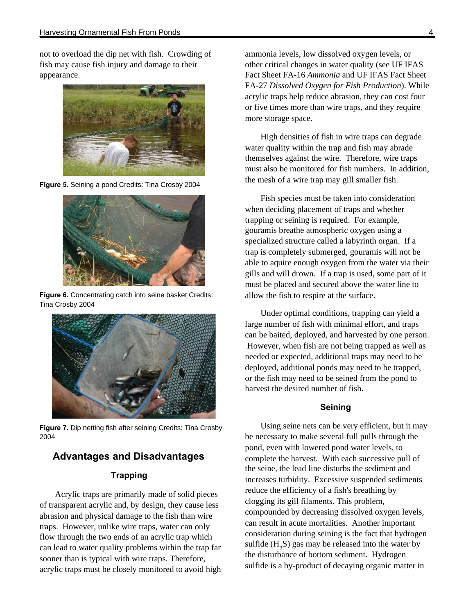not to overload the dip net with fish. Crowding of fish may cause fish injury and damage to their appearance.



**Figure 5.** Seining a pond Credits: Tina Crosby 2004



**Figure 6.** Concentrating catch into seine basket Credits: Tina Crosby 2004



**Figure 7.** Dip netting fish after seining Credits: Tina Crosby 2004

## **Advantages and Disadvantages**

#### **Trapping**

Acrylic traps are primarily made of solid pieces of transparent acrylic and, by design, they cause less abrasion and physical damage to the fish than wire traps. However, unlike wire traps, water can only flow through the two ends of an acrylic trap which can lead to water quality problems within the trap far sooner than is typical with wire traps. Therefore, acrylic traps must be closely monitored to avoid high ammonia levels, low dissolved oxygen levels, or other critical changes in water quality (see UF IFAS Fact Sheet FA-16 *Ammonia* and UF IFAS Fact Sheet FA-27 *Dissolved Oxygen for Fish Production*). While acrylic traps help reduce abrasion, they can cost four or five times more than wire traps, and they require more storage space.

High densities of fish in wire traps can degrade water quality within the trap and fish may abrade themselves against the wire. Therefore, wire traps must also be monitored for fish numbers. In addition, the mesh of a wire trap may gill smaller fish.

Fish species must be taken into consideration when deciding placement of traps and whether trapping or seining is required. For example, gouramis breathe atmospheric oxygen using a specialized structure called a labyrinth organ. If a trap is completely submerged, gouramis will not be able to aquire enough oxygen from the water via their gills and will drown. If a trap is used, some part of it must be placed and secured above the water line to allow the fish to respire at the surface.

Under optimal conditions, trapping can yield a large number of fish with minimal effort, and traps can be baited, deployed, and harvested by one person. However, when fish are not being trapped as well as needed or expected, additional traps may need to be deployed, additional ponds may need to be trapped, or the fish may need to be seined from the pond to harvest the desired number of fish.

#### **Seining**

Using seine nets can be very efficient, but it may be necessary to make several full pulls through the pond, even with lowered pond water levels, to complete the harvest. With each successive pull of the seine, the lead line disturbs the sediment and increases turbidity. Excessive suspended sediments reduce the efficiency of a fish's breathing by clogging its gill filaments. This problem, compounded by decreasing dissolved oxygen levels, can result in acute mortalities. Another important consideration during seining is the fact that hydrogen sulfide  $(H_2S)$  gas may be released into the water by the disturbance of bottom sediment. Hydrogen sulfide is a by-product of decaying organic matter in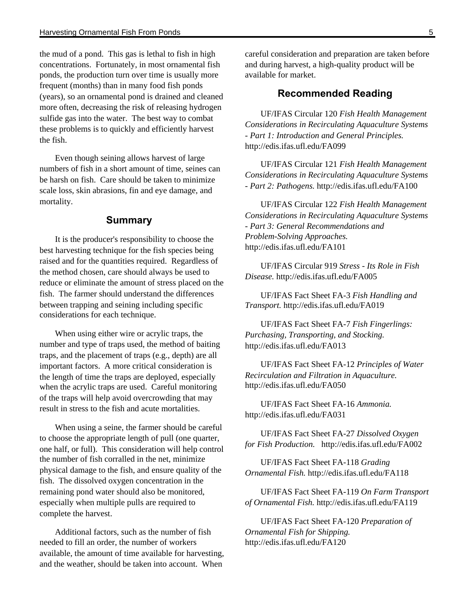the mud of a pond. This gas is lethal to fish in high concentrations. Fortunately, in most ornamental fish ponds, the production turn over time is usually more frequent (months) than in many food fish ponds (years), so an ornamental pond is drained and cleaned more often, decreasing the risk of releasing hydrogen sulfide gas into the water. The best way to combat these problems is to quickly and efficiently harvest the fish.

Even though seining allows harvest of large numbers of fish in a short amount of time, seines can be harsh on fish. Care should be taken to minimize scale loss, skin abrasions, fin and eye damage, and mortality.

## **Summary**

It is the producer's responsibility to choose the best harvesting technique for the fish species being raised and for the quantities required. Regardless of the method chosen, care should always be used to reduce or eliminate the amount of stress placed on the fish. The farmer should understand the differences between trapping and seining including specific considerations for each technique.

When using either wire or acrylic traps, the number and type of traps used, the method of baiting traps, and the placement of traps (e.g., depth) are all important factors. A more critical consideration is the length of time the traps are deployed, especially when the acrylic traps are used. Careful monitoring of the traps will help avoid overcrowding that may result in stress to the fish and acute mortalities.

When using a seine, the farmer should be careful to choose the appropriate length of pull (one quarter, one half, or full). This consideration will help control the number of fish corralled in the net, minimize physical damage to the fish, and ensure quality of the fish. The dissolved oxygen concentration in the remaining pond water should also be monitored, especially when multiple pulls are required to complete the harvest.

Additional factors, such as the number of fish needed to fill an order, the number of workers available, the amount of time available for harvesting, and the weather, should be taken into account. When

careful consideration and preparation are taken before and during harvest, a high-quality product will be available for market.

#### **Recommended Reading**

UF/IFAS Circular 120 *Fish Health Management Considerations in Recirculating Aquaculture Systems - Part 1: Introduction and General Principles.*  http://edis.ifas.ufl.edu/FA099

UF/IFAS Circular 121 *Fish Health Management Considerations in Recirculating Aquaculture Systems - Part 2: Pathogens.* http://edis.ifas.ufl.edu/FA100

UF/IFAS Circular 122 *Fish Health Management Considerations in Recirculating Aquaculture Systems - Part 3: General Recommendations and Problem-Solving Approaches.*  http://edis.ifas.ufl.edu/FA101

UF/IFAS Circular 919 *Stress - Its Role in Fish Disease.* http://edis.ifas.ufl.edu/FA005

UF/IFAS Fact Sheet FA-3 *Fish Handling and Transport.* http://edis.ifas.ufl.edu/FA019

UF/IFAS Fact Sheet FA-7 *Fish Fingerlings: Purchasing, Transporting, and Stocking.* http://edis.ifas.ufl.edu/FA013

UF/IFAS Fact Sheet FA-12 *Principles of Water Recirculation and Filtration in Aquaculture.* http://edis.ifas.ufl.edu/FA050

UF/IFAS Fact Sheet FA-16 *Ammonia.* http://edis.ifas.ufl.edu/FA031

UF/IFAS Fact Sheet FA-27 *Dissolved Oxygen for Fish Production.* http://edis.ifas.ufl.edu/FA002

UF/IFAS Fact Sheet FA-118 *Grading Ornamental Fish.* http://edis.ifas.ufl.edu/FA118

UF/IFAS Fact Sheet FA-119 *On Farm Transport of Ornamental Fish.* http://edis.ifas.ufl.edu/FA119

UF/IFAS Fact Sheet FA-120 *Preparation of Ornamental Fish for Shipping.*  http://edis.ifas.ufl.edu/FA120